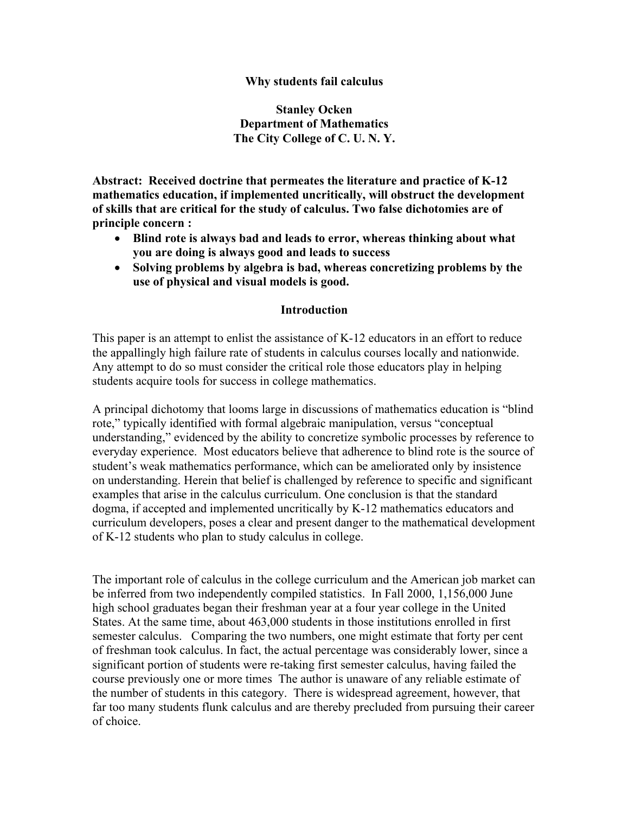### **Why students fail calculus**

**Stanley Ocken Department of Mathematics The City College of C. U. N. Y.** 

**Abstract: Received doctrine that permeates the literature and practice of K-12 mathematics education, if implemented uncritically, will obstruct the development of skills that are critical for the study of calculus. Two false dichotomies are of principle concern :** 

- **Blind rote is always bad and leads to error, whereas thinking about what you are doing is always good and leads to success**
- **Solving problems by algebra is bad, whereas concretizing problems by the use of physical and visual models is good.**

#### **Introduction**

This paper is an attempt to enlist the assistance of K-12 educators in an effort to reduce the appallingly high failure rate of students in calculus courses locally and nationwide. Any attempt to do so must consider the critical role those educators play in helping students acquire tools for success in college mathematics.

A principal dichotomy that looms large in discussions of mathematics education is "blind rote," typically identified with formal algebraic manipulation, versus "conceptual understanding," evidenced by the ability to concretize symbolic processes by reference to everyday experience. Most educators believe that adherence to blind rote is the source of student's weak mathematics performance, which can be ameliorated only by insistence on understanding. Herein that belief is challenged by reference to specific and significant examples that arise in the calculus curriculum. One conclusion is that the standard dogma, if accepted and implemented uncritically by K-12 mathematics educators and curriculum developers, poses a clear and present danger to the mathematical development of K-12 students who plan to study calculus in college.

The important role of calculus in the college curriculum and the American job market can be inferred from two independently compiled statistics. In Fall 2000, 1,156,000 June high school graduates began their freshman year at a four year college in the United States. At the same time, about 463,000 students in those institutions enrolled in first semester calculus. Comparing the two numbers, one might estimate that forty per cent of freshman took calculus. In fact, the actual percentage was considerably lower, since a significant portion of students were re-taking first semester calculus, having failed the course previously one or more times The author is unaware of any reliable estimate of the number of students in this category. There is widespread agreement, however, that far too many students flunk calculus and are thereby precluded from pursuing their career of choice.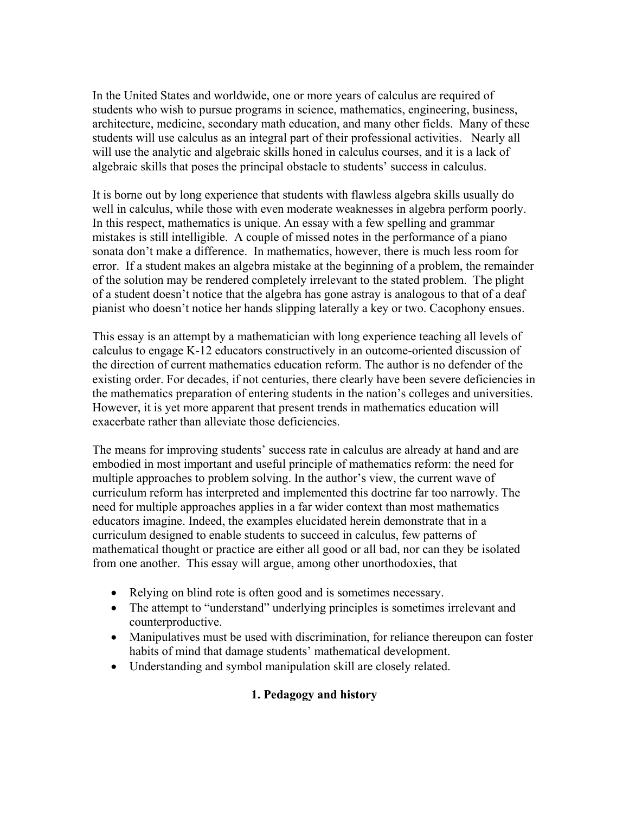In the United States and worldwide, one or more years of calculus are required of students who wish to pursue programs in science, mathematics, engineering, business, architecture, medicine, secondary math education, and many other fields. Many of these students will use calculus as an integral part of their professional activities. Nearly all will use the analytic and algebraic skills honed in calculus courses, and it is a lack of algebraic skills that poses the principal obstacle to students' success in calculus.

It is borne out by long experience that students with flawless algebra skills usually do well in calculus, while those with even moderate weaknesses in algebra perform poorly. In this respect, mathematics is unique. An essay with a few spelling and grammar mistakes is still intelligible. A couple of missed notes in the performance of a piano sonata don't make a difference. In mathematics, however, there is much less room for error. If a student makes an algebra mistake at the beginning of a problem, the remainder of the solution may be rendered completely irrelevant to the stated problem. The plight of a student doesn't notice that the algebra has gone astray is analogous to that of a deaf pianist who doesn't notice her hands slipping laterally a key or two. Cacophony ensues.

This essay is an attempt by a mathematician with long experience teaching all levels of calculus to engage K-12 educators constructively in an outcome-oriented discussion of the direction of current mathematics education reform. The author is no defender of the existing order. For decades, if not centuries, there clearly have been severe deficiencies in the mathematics preparation of entering students in the nation's colleges and universities. However, it is yet more apparent that present trends in mathematics education will exacerbate rather than alleviate those deficiencies.

The means for improving students' success rate in calculus are already at hand and are embodied in most important and useful principle of mathematics reform: the need for multiple approaches to problem solving. In the author's view, the current wave of curriculum reform has interpreted and implemented this doctrine far too narrowly. The need for multiple approaches applies in a far wider context than most mathematics educators imagine. Indeed, the examples elucidated herein demonstrate that in a curriculum designed to enable students to succeed in calculus, few patterns of mathematical thought or practice are either all good or all bad, nor can they be isolated from one another. This essay will argue, among other unorthodoxies, that

- Relying on blind rote is often good and is sometimes necessary.
- The attempt to "understand" underlying principles is sometimes irrelevant and counterproductive.
- Manipulatives must be used with discrimination, for reliance thereupon can foster habits of mind that damage students' mathematical development.
- Understanding and symbol manipulation skill are closely related.

# **1. Pedagogy and history**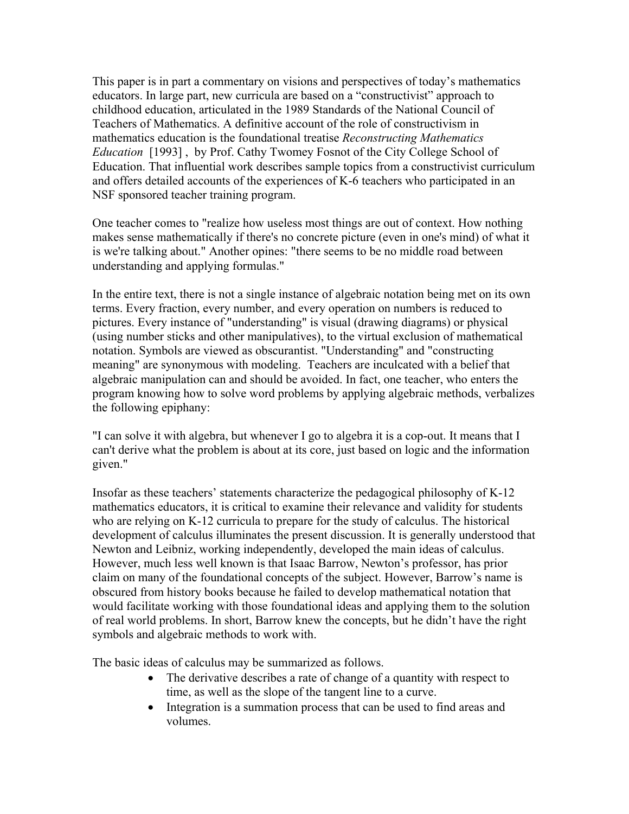This paper is in part a commentary on visions and perspectives of today's mathematics educators. In large part, new curricula are based on a "constructivist" approach to childhood education, articulated in the 1989 Standards of the National Council of Teachers of Mathematics. A definitive account of the role of constructivism in mathematics education is the foundational treatise *Reconstructing Mathematics Education* [1993] , by Prof. Cathy Twomey Fosnot of the City College School of Education. That influential work describes sample topics from a constructivist curriculum and offers detailed accounts of the experiences of K-6 teachers who participated in an NSF sponsored teacher training program.

One teacher comes to "realize how useless most things are out of context. How nothing makes sense mathematically if there's no concrete picture (even in one's mind) of what it is we're talking about." Another opines: "there seems to be no middle road between understanding and applying formulas."

In the entire text, there is not a single instance of algebraic notation being met on its own terms. Every fraction, every number, and every operation on numbers is reduced to pictures. Every instance of "understanding" is visual (drawing diagrams) or physical (using number sticks and other manipulatives), to the virtual exclusion of mathematical notation. Symbols are viewed as obscurantist. "Understanding" and "constructing meaning" are synonymous with modeling. Teachers are inculcated with a belief that algebraic manipulation can and should be avoided. In fact, one teacher, who enters the program knowing how to solve word problems by applying algebraic methods, verbalizes the following epiphany:

"I can solve it with algebra, but whenever I go to algebra it is a cop-out. It means that I can't derive what the problem is about at its core, just based on logic and the information given."

Insofar as these teachers' statements characterize the pedagogical philosophy of K-12 mathematics educators, it is critical to examine their relevance and validity for students who are relying on K-12 curricula to prepare for the study of calculus. The historical development of calculus illuminates the present discussion. It is generally understood that Newton and Leibniz, working independently, developed the main ideas of calculus. However, much less well known is that Isaac Barrow, Newton's professor, has prior claim on many of the foundational concepts of the subject. However, Barrow's name is obscured from history books because he failed to develop mathematical notation that would facilitate working with those foundational ideas and applying them to the solution of real world problems. In short, Barrow knew the concepts, but he didn't have the right symbols and algebraic methods to work with.

The basic ideas of calculus may be summarized as follows.

- The derivative describes a rate of change of a quantity with respect to time, as well as the slope of the tangent line to a curve.
- Integration is a summation process that can be used to find areas and volumes.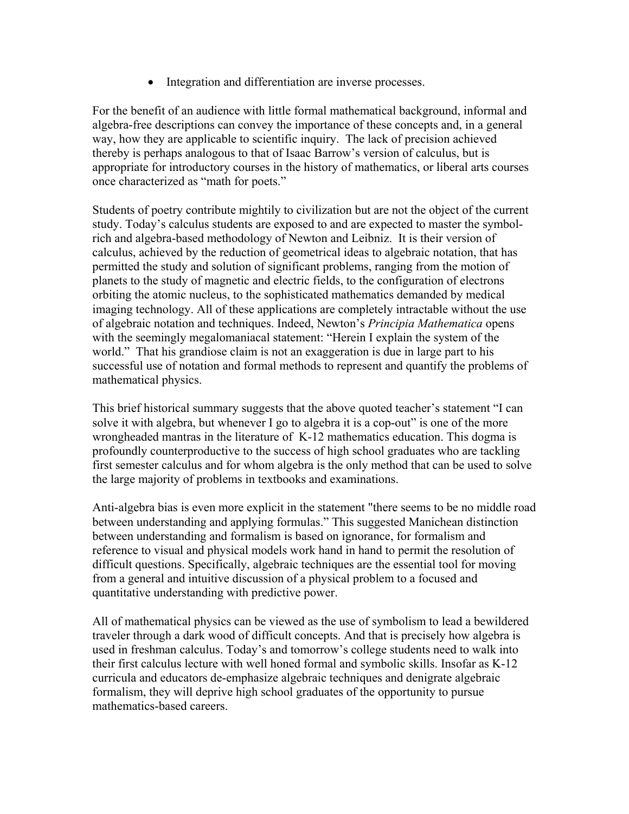• Integration and differentiation are inverse processes.

For the benefit of an audience with little formal mathematical background, informal and algebra-free descriptions can convey the importance of these concepts and, in a general way, how they are applicable to scientific inquiry. The lack of precision achieved thereby is perhaps analogous to that of Isaac Barrow's version of calculus, but is appropriate for introductory courses in the history of mathematics, or liberal arts courses once characterized as "math for poets."

Students of poetry contribute mightily to civilization but are not the object of the current study. Today's calculus students are exposed to and are expected to master the symbolrich and algebra-based methodology of Newton and Leibniz. It is their version of calculus, achieved by the reduction of geometrical ideas to algebraic notation, that has permitted the study and solution of significant problems, ranging from the motion of planets to the study of magnetic and electric fields, to the configuration of electrons orbiting the atomic nucleus, to the sophisticated mathematics demanded by medical imaging technology. All of these applications are completely intractable without the use of algebraic notation and techniques. Indeed, Newton's *Principia Mathematica* opens with the seemingly megalomaniacal statement: "Herein I explain the system of the world." That his grandiose claim is not an exaggeration is due in large part to his successful use of notation and formal methods to represent and quantify the problems of mathematical physics.

This brief historical summary suggests that the above quoted teacher's statement "I can solve it with algebra, but whenever I go to algebra it is a cop-out" is one of the more wrongheaded mantras in the literature of K-12 mathematics education. This dogma is profoundly counterproductive to the success of high school graduates who are tackling first semester calculus and for whom algebra is the only method that can be used to solve the large majority of problems in textbooks and examinations.

Anti-algebra bias is even more explicit in the statement "there seems to be no middle road between understanding and applying formulas." This suggested Manichean distinction between understanding and formalism is based on ignorance, for formalism and reference to visual and physical models work hand in hand to permit the resolution of difficult questions. Specifically, algebraic techniques are the essential tool for moving from a general and intuitive discussion of a physical problem to a focused and quantitative understanding with predictive power.

All of mathematical physics can be viewed as the use of symbolism to lead a bewildered traveler through a dark wood of difficult concepts. And that is precisely how algebra is used in freshman calculus. Today's and tomorrow's college students need to walk into their first calculus lecture with well honed formal and symbolic skills. Insofar as K-12 curricula and educators de-emphasize algebraic techniques and denigrate algebraic formalism, they will deprive high school graduates of the opportunity to pursue mathematics-based careers.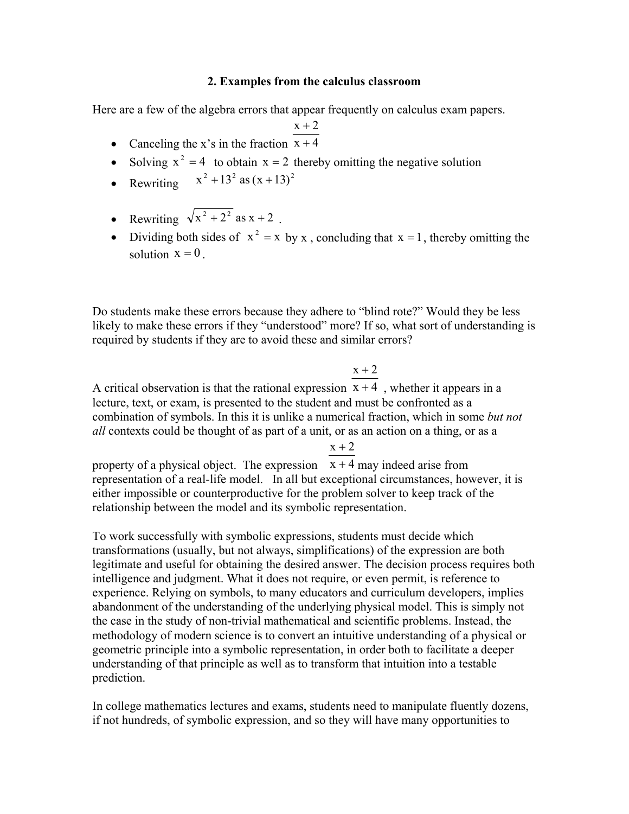#### **2. Examples from the calculus classroom**

Here are a few of the algebra errors that appear frequently on calculus exam papers.

 $x + 2$ 

- Canceling the x's in the fraction  $x + 4$
- Solving  $x^2 = 4$  to obtain  $x = 2$  thereby omitting the negative solution
- Rewriting  $x^2 + 13^2$  as  $(x + 13)^2$
- Rewriting  $\sqrt{x^2 + 2^2}$  as  $x + 2$ .
- Dividing both sides of  $x^2 = x$  by x, concluding that  $x = 1$ , thereby omitting the solution  $x = 0$ .

Do students make these errors because they adhere to "blind rote?" Would they be less likely to make these errors if they "understood" more? If so, what sort of understanding is required by students if they are to avoid these and similar errors?

## $x + 2$

A critical observation is that the rational expression  $x + 4$ , whether it appears in a lecture, text, or exam, is presented to the student and must be confronted as a combination of symbols. In this it is unlike a numerical fraction, which in some *but not all* contexts could be thought of as part of a unit, or as an action on a thing, or as a

 $x + 2$ 

property of a physical object. The expression  $x + 4$  may indeed arise from representation of a real-life model. In all but exceptional circumstances, however, it is either impossible or counterproductive for the problem solver to keep track of the relationship between the model and its symbolic representation.

To work successfully with symbolic expressions, students must decide which transformations (usually, but not always, simplifications) of the expression are both legitimate and useful for obtaining the desired answer. The decision process requires both intelligence and judgment. What it does not require, or even permit, is reference to experience. Relying on symbols, to many educators and curriculum developers, implies abandonment of the understanding of the underlying physical model. This is simply not the case in the study of non-trivial mathematical and scientific problems. Instead, the methodology of modern science is to convert an intuitive understanding of a physical or geometric principle into a symbolic representation, in order both to facilitate a deeper understanding of that principle as well as to transform that intuition into a testable prediction.

In college mathematics lectures and exams, students need to manipulate fluently dozens, if not hundreds, of symbolic expression, and so they will have many opportunities to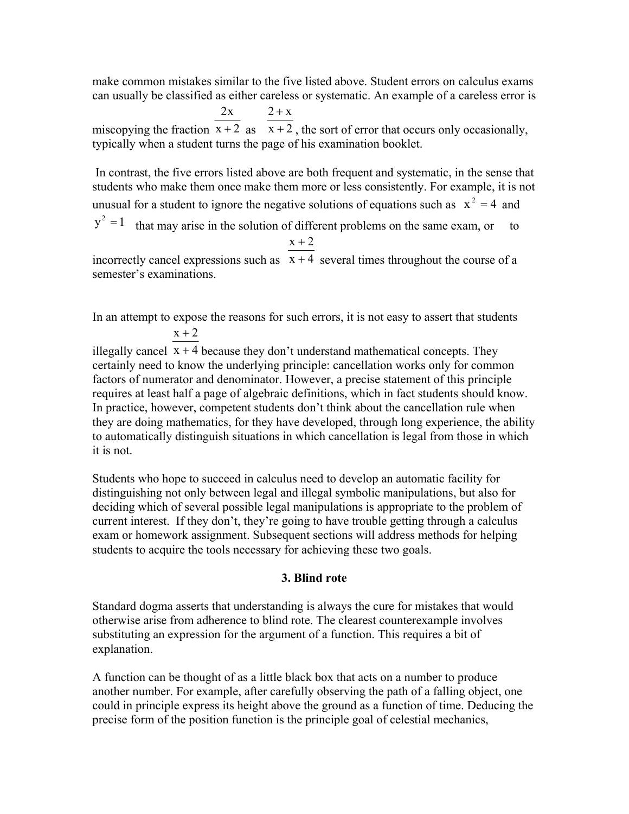make common mistakes similar to the five listed above. Student errors on calculus exams can usually be classified as either careless or systematic. An example of a careless error is

miscopying the fraction  $x + 2$  as  $x + 2$ , the sort of error that occurs only occasionally,  $2x$  $2 + x$ typically when a student turns the page of his examination booklet.

 In contrast, the five errors listed above are both frequent and systematic, in the sense that students who make them once make them more or less consistently. For example, it is not unusual for a student to ignore the negative solutions of equations such as  $x^2 = 4$  and  $y^2 = 1$  that may arise in the solution of different problems on the same exam, or to  $x + 2$ 

incorrectly cancel expressions such as  $x + 4$  several times throughout the course of a semester's examinations.

In an attempt to expose the reasons for such errors, it is not easy to assert that students  $x + 2$ 

illegally cancel  $x + 4$  because they don't understand mathematical concepts. They certainly need to know the underlying principle: cancellation works only for common factors of numerator and denominator. However, a precise statement of this principle requires at least half a page of algebraic definitions, which in fact students should know. In practice, however, competent students don't think about the cancellation rule when they are doing mathematics, for they have developed, through long experience, the ability to automatically distinguish situations in which cancellation is legal from those in which it is not.

Students who hope to succeed in calculus need to develop an automatic facility for distinguishing not only between legal and illegal symbolic manipulations, but also for deciding which of several possible legal manipulations is appropriate to the problem of current interest. If they don't, they're going to have trouble getting through a calculus exam or homework assignment. Subsequent sections will address methods for helping students to acquire the tools necessary for achieving these two goals.

# **3. Blind rote**

Standard dogma asserts that understanding is always the cure for mistakes that would otherwise arise from adherence to blind rote. The clearest counterexample involves substituting an expression for the argument of a function. This requires a bit of explanation.

A function can be thought of as a little black box that acts on a number to produce another number. For example, after carefully observing the path of a falling object, one could in principle express its height above the ground as a function of time. Deducing the precise form of the position function is the principle goal of celestial mechanics,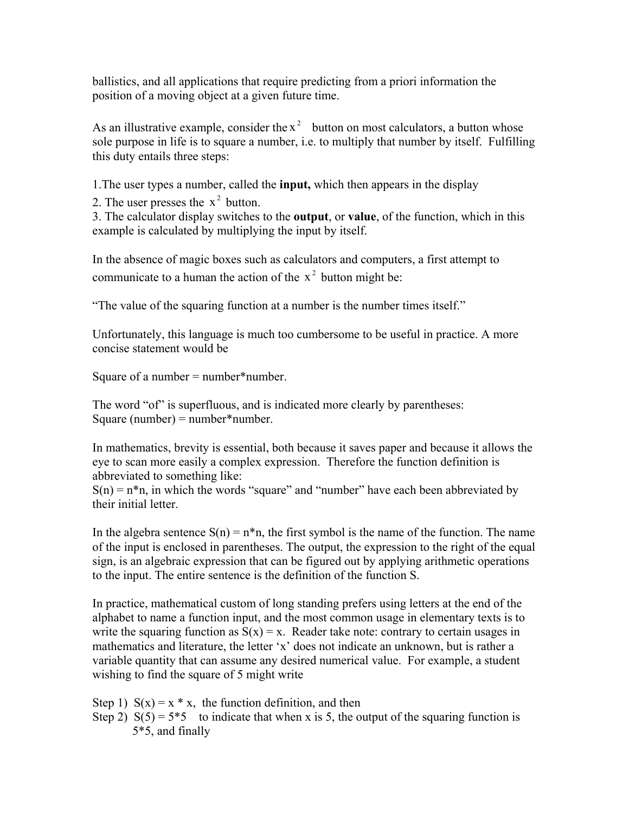ballistics, and all applications that require predicting from a priori information the position of a moving object at a given future time.

As an illustrative example, consider the  $x^2$  button on most calculators, a button whose sole purpose in life is to square a number, i.e. to multiply that number by itself. Fulfilling this duty entails three steps:

1.The user types a number, called the **input,** which then appears in the display

2. The user presses the  $x^2$  button.

3. The calculator display switches to the **output**, or **value**, of the function, which in this example is calculated by multiplying the input by itself.

In the absence of magic boxes such as calculators and computers, a first attempt to communicate to a human the action of the  $x^2$  button might be:

"The value of the squaring function at a number is the number times itself."

Unfortunately, this language is much too cumbersome to be useful in practice. A more concise statement would be

Square of a number  $=$  number\*number.

The word "of" is superfluous, and is indicated more clearly by parentheses: Square (number) =  $number*$ number.

In mathematics, brevity is essential, both because it saves paper and because it allows the eye to scan more easily a complex expression. Therefore the function definition is abbreviated to something like:

 $S(n) = n * n$ , in which the words "square" and "number" have each been abbreviated by their initial letter.

In the algebra sentence  $S(n) = n<sup>*</sup>n$ , the first symbol is the name of the function. The name of the input is enclosed in parentheses. The output, the expression to the right of the equal sign, is an algebraic expression that can be figured out by applying arithmetic operations to the input. The entire sentence is the definition of the function S.

In practice, mathematical custom of long standing prefers using letters at the end of the alphabet to name a function input, and the most common usage in elementary texts is to write the squaring function as  $S(x) = x$ . Reader take note: contrary to certain usages in mathematics and literature, the letter 'x' does not indicate an unknown, but is rather a variable quantity that can assume any desired numerical value. For example, a student wishing to find the square of 5 might write

Step 1)  $S(x) = x * x$ , the function definition, and then Step 2)  $S(5) = 5*5$  to indicate that when x is 5, the output of the squaring function is 5\*5, and finally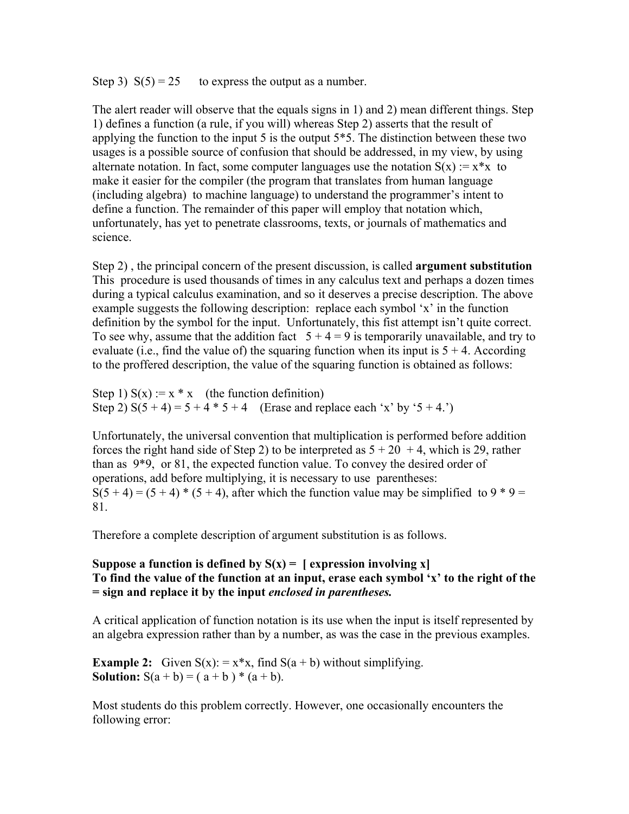Step 3)  $S(5) = 25$  to express the output as a number.

The alert reader will observe that the equals signs in 1) and 2) mean different things. Step 1) defines a function (a rule, if you will) whereas Step 2) asserts that the result of applying the function to the input 5 is the output  $5*5$ . The distinction between these two usages is a possible source of confusion that should be addressed, in my view, by using alternate notation. In fact, some computer languages use the notation  $S(x) := x^*x$  to make it easier for the compiler (the program that translates from human language (including algebra) to machine language) to understand the programmer's intent to define a function. The remainder of this paper will employ that notation which, unfortunately, has yet to penetrate classrooms, texts, or journals of mathematics and science.

Step 2) , the principal concern of the present discussion, is called **argument substitution**  This procedure is used thousands of times in any calculus text and perhaps a dozen times during a typical calculus examination, and so it deserves a precise description. The above example suggests the following description: replace each symbol 'x' in the function definition by the symbol for the input. Unfortunately, this fist attempt isn't quite correct. To see why, assume that the addition fact  $5 + 4 = 9$  is temporarily unavailable, and try to evaluate (i.e., find the value of) the squaring function when its input is  $5 + 4$ . According to the proffered description, the value of the squaring function is obtained as follows:

Step 1)  $S(x) := x * x$  (the function definition) Step 2)  $S(5 + 4) = 5 + 4 * 5 + 4$  (Erase and replace each 'x' by '5 + 4.')

Unfortunately, the universal convention that multiplication is performed before addition forces the right hand side of Step 2) to be interpreted as  $5 + 20 + 4$ , which is 29, rather than as 9\*9, or 81, the expected function value. To convey the desired order of operations, add before multiplying, it is necessary to use parentheses:  $S(5 + 4) = (5 + 4) * (5 + 4)$ , after which the function value may be simplified to 9  $*$  9 = 81.

Therefore a complete description of argument substitution is as follows.

## Suppose a function is defined by  $S(x) = \int$  expression involving x **To find the value of the function at an input, erase each symbol 'x' to the right of the = sign and replace it by the input** *enclosed in parentheses.*

A critical application of function notation is its use when the input is itself represented by an algebra expression rather than by a number, as was the case in the previous examples.

**Example 2:** Given  $S(x) = x*x$ , find  $S(a + b)$  without simplifying. **Solution:**  $S(a + b) = (a + b) * (a + b)$ .

Most students do this problem correctly. However, one occasionally encounters the following error: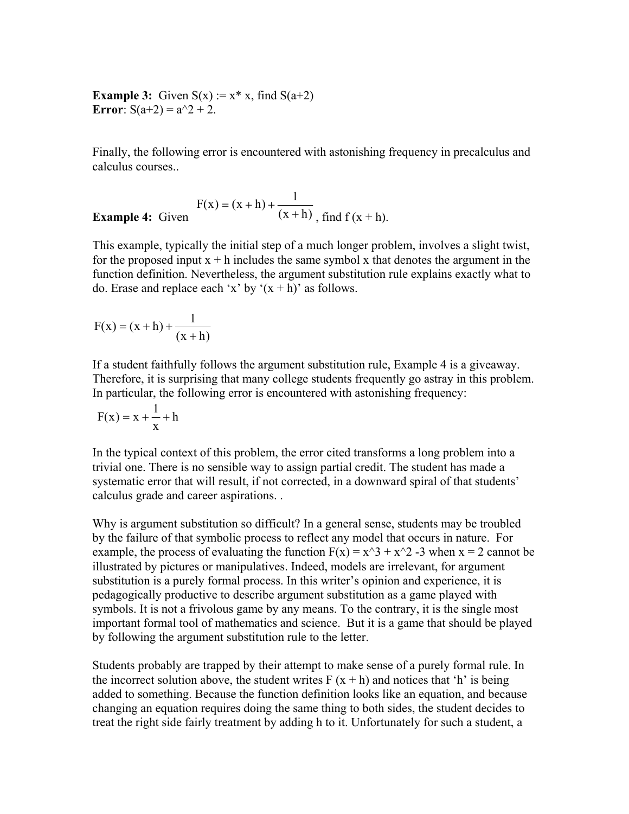**Example 3:** Given  $S(x) := x^* x$ , find  $S(a+2)$ **Error**:  $S(a+2) = a^2 + 2$ .

Finally, the following error is encountered with astonishing frequency in precalculus and calculus courses..

**Example 4:** Given 
$$
F(x) = (x+h) + \frac{1}{(x+h)}, \text{ find } f(x+h).
$$

This example, typically the initial step of a much longer problem, involves a slight twist, for the proposed input  $x + h$  includes the same symbol x that denotes the argument in the function definition. Nevertheless, the argument substitution rule explains exactly what to do. Erase and replace each 'x' by  $(x + h)$ ' as follows.

$$
F(x) = (x+h) + \frac{1}{(x+h)}
$$

If a student faithfully follows the argument substitution rule, Example 4 is a giveaway. Therefore, it is surprising that many college students frequently go astray in this problem. In particular, the following error is encountered with astonishing frequency:

$$
F(x) = x + \frac{1}{x} + h
$$

In the typical context of this problem, the error cited transforms a long problem into a trivial one. There is no sensible way to assign partial credit. The student has made a systematic error that will result, if not corrected, in a downward spiral of that students' calculus grade and career aspirations. .

Why is argument substitution so difficult? In a general sense, students may be troubled by the failure of that symbolic process to reflect any model that occurs in nature. For example, the process of evaluating the function  $F(x) = x^3 + x^2 - 3$  when  $x = 2$  cannot be illustrated by pictures or manipulatives. Indeed, models are irrelevant, for argument substitution is a purely formal process. In this writer's opinion and experience, it is pedagogically productive to describe argument substitution as a game played with symbols. It is not a frivolous game by any means. To the contrary, it is the single most important formal tool of mathematics and science. But it is a game that should be played by following the argument substitution rule to the letter.

Students probably are trapped by their attempt to make sense of a purely formal rule. In the incorrect solution above, the student writes  $F(x + h)$  and notices that 'h' is being added to something. Because the function definition looks like an equation, and because changing an equation requires doing the same thing to both sides, the student decides to treat the right side fairly treatment by adding h to it. Unfortunately for such a student, a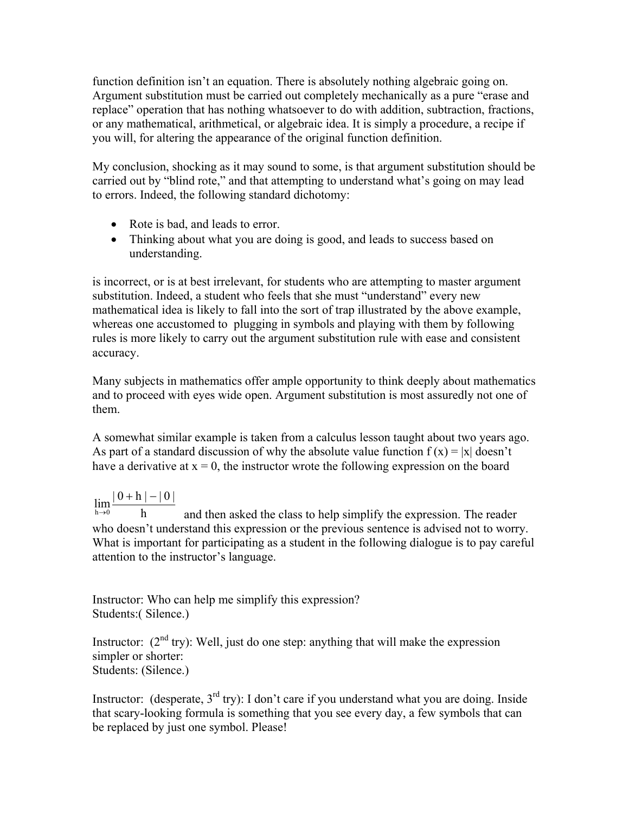function definition isn't an equation. There is absolutely nothing algebraic going on. Argument substitution must be carried out completely mechanically as a pure "erase and replace" operation that has nothing whatsoever to do with addition, subtraction, fractions, or any mathematical, arithmetical, or algebraic idea. It is simply a procedure, a recipe if you will, for altering the appearance of the original function definition.

My conclusion, shocking as it may sound to some, is that argument substitution should be carried out by "blind rote," and that attempting to understand what's going on may lead to errors. Indeed, the following standard dichotomy:

- Rote is bad, and leads to error.
- Thinking about what you are doing is good, and leads to success based on understanding.

is incorrect, or is at best irrelevant, for students who are attempting to master argument substitution. Indeed, a student who feels that she must "understand" every new mathematical idea is likely to fall into the sort of trap illustrated by the above example, whereas one accustomed to plugging in symbols and playing with them by following rules is more likely to carry out the argument substitution rule with ease and consistent accuracy.

Many subjects in mathematics offer ample opportunity to think deeply about mathematics and to proceed with eyes wide open. Argument substitution is most assuredly not one of them.

A somewhat similar example is taken from a calculus lesson taught about two years ago. As part of a standard discussion of why the absolute value function  $f(x) = |x|$  doesn't have a derivative at  $x = 0$ , the instructor wrote the following expression on the board

## $\lim_{h\to 0} \frac{|0+h| - |0|}{h}$  $+ h \, | -$

h and then asked the class to help simplify the expression. The reader who doesn't understand this expression or the previous sentence is advised not to worry. What is important for participating as a student in the following dialogue is to pay careful attention to the instructor's language.

Instructor: Who can help me simplify this expression? Students:( Silence.)

Instructor:  $(2<sup>nd</sup> try)$ : Well, just do one step: anything that will make the expression simpler or shorter: Students: (Silence.)

Instructor: (desperate,  $3<sup>rd</sup>$  try): I don't care if you understand what you are doing. Inside that scary-looking formula is something that you see every day, a few symbols that can be replaced by just one symbol. Please!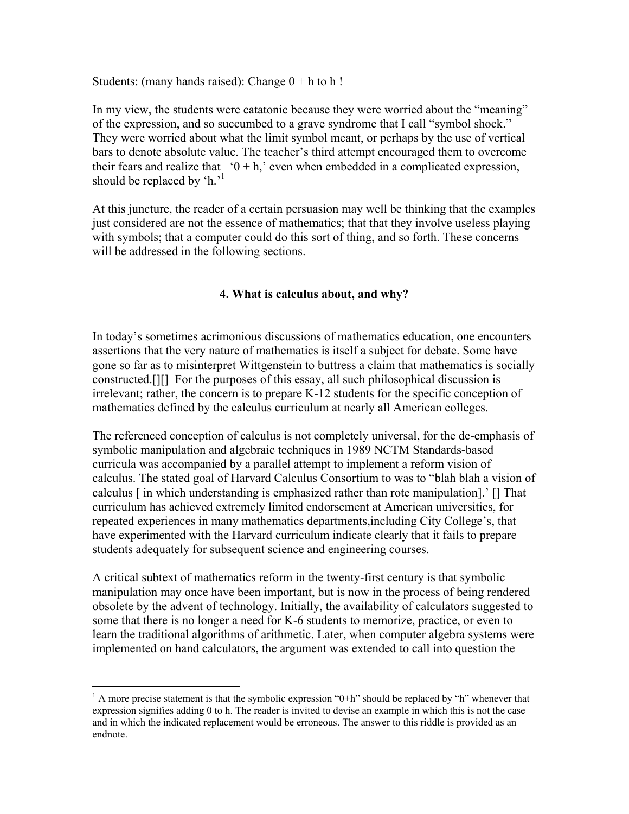Students: (many hands raised): Change  $0 + h$  to h!

In my view, the students were catatonic because they were worried about the "meaning" of the expression, and so succumbed to a grave syndrome that I call "symbol shock." They were worried about what the limit symbol meant, or perhaps by the use of vertical bars to denote absolute value. The teacher's third attempt encouraged them to overcome their fears and realize that  $0 + h$ , even when embedded in a complicated expression, should be replaced by  $\text{`h.'}^1$ 

At this juncture, the reader of a certain persuasion may well be thinking that the examples just considered are not the essence of mathematics; that that they involve useless playing with symbols; that a computer could do this sort of thing, and so forth. These concerns will be addressed in the following sections.

## **4. What is calculus about, and why?**

In today's sometimes acrimonious discussions of mathematics education, one encounters assertions that the very nature of mathematics is itself a subject for debate. Some have gone so far as to misinterpret Wittgenstein to buttress a claim that mathematics is socially constructed.[][] For the purposes of this essay, all such philosophical discussion is irrelevant; rather, the concern is to prepare K-12 students for the specific conception of mathematics defined by the calculus curriculum at nearly all American colleges.

The referenced conception of calculus is not completely universal, for the de-emphasis of symbolic manipulation and algebraic techniques in 1989 NCTM Standards-based curricula was accompanied by a parallel attempt to implement a reform vision of calculus. The stated goal of Harvard Calculus Consortium to was to "blah blah a vision of calculus [ in which understanding is emphasized rather than rote manipulation].' [] That curriculum has achieved extremely limited endorsement at American universities, for repeated experiences in many mathematics departments,including City College's, that have experimented with the Harvard curriculum indicate clearly that it fails to prepare students adequately for subsequent science and engineering courses.

A critical subtext of mathematics reform in the twenty-first century is that symbolic manipulation may once have been important, but is now in the process of being rendered obsolete by the advent of technology. Initially, the availability of calculators suggested to some that there is no longer a need for K-6 students to memorize, practice, or even to learn the traditional algorithms of arithmetic. Later, when computer algebra systems were implemented on hand calculators, the argument was extended to call into question the

 $\overline{a}$ 

 $<sup>1</sup>$  A more precise statement is that the symbolic expression "0+h" should be replaced by "h" whenever that</sup> expression signifies adding 0 to h. The reader is invited to devise an example in which this is not the case and in which the indicated replacement would be erroneous. The answer to this riddle is provided as an endnote.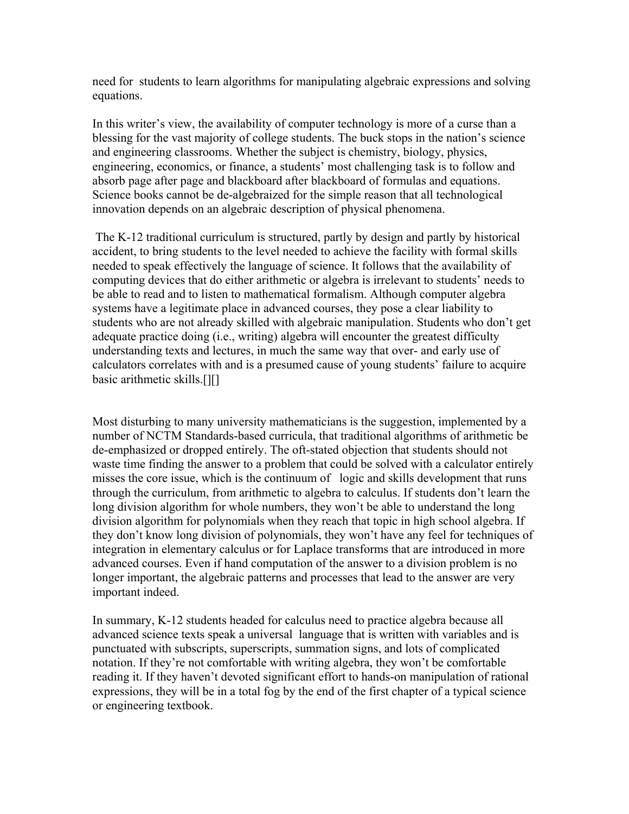need for students to learn algorithms for manipulating algebraic expressions and solving equations.

In this writer's view, the availability of computer technology is more of a curse than a blessing for the vast majority of college students. The buck stops in the nation's science and engineering classrooms. Whether the subject is chemistry, biology, physics, engineering, economics, or finance, a students' most challenging task is to follow and absorb page after page and blackboard after blackboard of formulas and equations. Science books cannot be de-algebraized for the simple reason that all technological innovation depends on an algebraic description of physical phenomena.

 The K-12 traditional curriculum is structured, partly by design and partly by historical accident, to bring students to the level needed to achieve the facility with formal skills needed to speak effectively the language of science. It follows that the availability of computing devices that do either arithmetic or algebra is irrelevant to students' needs to be able to read and to listen to mathematical formalism. Although computer algebra systems have a legitimate place in advanced courses, they pose a clear liability to students who are not already skilled with algebraic manipulation. Students who don't get adequate practice doing (i.e., writing) algebra will encounter the greatest difficulty understanding texts and lectures, in much the same way that over- and early use of calculators correlates with and is a presumed cause of young students' failure to acquire basic arithmetic skills.[][]

Most disturbing to many university mathematicians is the suggestion, implemented by a number of NCTM Standards-based curricula, that traditional algorithms of arithmetic be de-emphasized or dropped entirely. The oft-stated objection that students should not waste time finding the answer to a problem that could be solved with a calculator entirely misses the core issue, which is the continuum of logic and skills development that runs through the curriculum, from arithmetic to algebra to calculus. If students don't learn the long division algorithm for whole numbers, they won't be able to understand the long division algorithm for polynomials when they reach that topic in high school algebra. If they don't know long division of polynomials, they won't have any feel for techniques of integration in elementary calculus or for Laplace transforms that are introduced in more advanced courses. Even if hand computation of the answer to a division problem is no longer important, the algebraic patterns and processes that lead to the answer are very important indeed.

In summary, K-12 students headed for calculus need to practice algebra because all advanced science texts speak a universal language that is written with variables and is punctuated with subscripts, superscripts, summation signs, and lots of complicated notation. If they're not comfortable with writing algebra, they won't be comfortable reading it. If they haven't devoted significant effort to hands-on manipulation of rational expressions, they will be in a total fog by the end of the first chapter of a typical science or engineering textbook.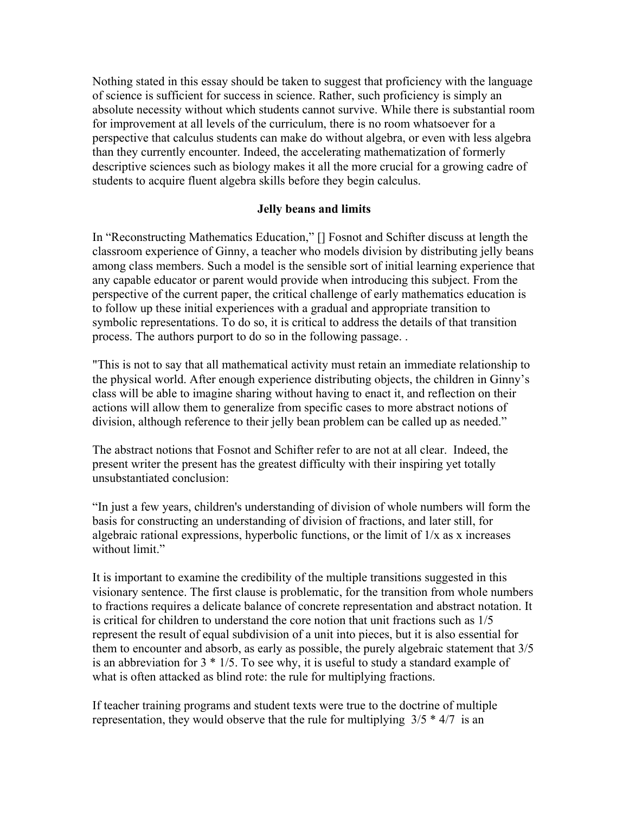Nothing stated in this essay should be taken to suggest that proficiency with the language of science is sufficient for success in science. Rather, such proficiency is simply an absolute necessity without which students cannot survive. While there is substantial room for improvement at all levels of the curriculum, there is no room whatsoever for a perspective that calculus students can make do without algebra, or even with less algebra than they currently encounter. Indeed, the accelerating mathematization of formerly descriptive sciences such as biology makes it all the more crucial for a growing cadre of students to acquire fluent algebra skills before they begin calculus.

### **Jelly beans and limits**

In "Reconstructing Mathematics Education," [] Fosnot and Schifter discuss at length the classroom experience of Ginny, a teacher who models division by distributing jelly beans among class members. Such a model is the sensible sort of initial learning experience that any capable educator or parent would provide when introducing this subject. From the perspective of the current paper, the critical challenge of early mathematics education is to follow up these initial experiences with a gradual and appropriate transition to symbolic representations. To do so, it is critical to address the details of that transition process. The authors purport to do so in the following passage. .

"This is not to say that all mathematical activity must retain an immediate relationship to the physical world. After enough experience distributing objects, the children in Ginny's class will be able to imagine sharing without having to enact it, and reflection on their actions will allow them to generalize from specific cases to more abstract notions of division, although reference to their jelly bean problem can be called up as needed."

The abstract notions that Fosnot and Schifter refer to are not at all clear. Indeed, the present writer the present has the greatest difficulty with their inspiring yet totally unsubstantiated conclusion:

"In just a few years, children's understanding of division of whole numbers will form the basis for constructing an understanding of division of fractions, and later still, for algebraic rational expressions, hyperbolic functions, or the limit of 1/x as x increases without limit."

It is important to examine the credibility of the multiple transitions suggested in this visionary sentence. The first clause is problematic, for the transition from whole numbers to fractions requires a delicate balance of concrete representation and abstract notation. It is critical for children to understand the core notion that unit fractions such as 1/5 represent the result of equal subdivision of a unit into pieces, but it is also essential for them to encounter and absorb, as early as possible, the purely algebraic statement that 3/5 is an abbreviation for 3 \* 1/5. To see why, it is useful to study a standard example of what is often attacked as blind rote: the rule for multiplying fractions.

If teacher training programs and student texts were true to the doctrine of multiple representation, they would observe that the rule for multiplying  $3/5 * 4/7$  is an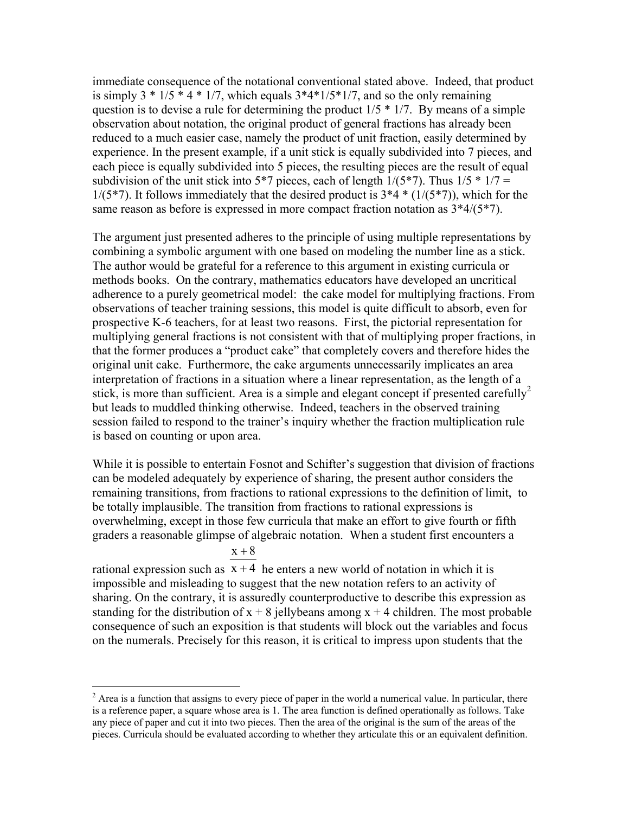immediate consequence of the notational conventional stated above. Indeed, that product is simply  $3 * 1/5 * 4 * 1/7$ , which equals  $3 * 4 * 1/5 * 1/7$ , and so the only remaining question is to devise a rule for determining the product  $1/5 * 1/7$ . By means of a simple observation about notation, the original product of general fractions has already been reduced to a much easier case, namely the product of unit fraction, easily determined by experience. In the present example, if a unit stick is equally subdivided into 7 pieces, and each piece is equally subdivided into 5 pieces, the resulting pieces are the result of equal subdivision of the unit stick into 5\*7 pieces, each of length  $1/(5*7)$ . Thus  $1/5 * 1/7 =$  $1/(5*7)$ . It follows immediately that the desired product is  $3*4*(1/(5*7))$ , which for the same reason as before is expressed in more compact fraction notation as 3\*4/(5\*7).

The argument just presented adheres to the principle of using multiple representations by combining a symbolic argument with one based on modeling the number line as a stick. The author would be grateful for a reference to this argument in existing curricula or methods books. On the contrary, mathematics educators have developed an uncritical adherence to a purely geometrical model: the cake model for multiplying fractions. From observations of teacher training sessions, this model is quite difficult to absorb, even for prospective K-6 teachers, for at least two reasons. First, the pictorial representation for multiplying general fractions is not consistent with that of multiplying proper fractions, in that the former produces a "product cake" that completely covers and therefore hides the original unit cake. Furthermore, the cake arguments unnecessarily implicates an area interpretation of fractions in a situation where a linear representation, as the length of a stick, is more than sufficient. Area is a simple and elegant concept if presented carefully<sup>2</sup> but leads to muddled thinking otherwise. Indeed, teachers in the observed training session failed to respond to the trainer's inquiry whether the fraction multiplication rule is based on counting or upon area.

While it is possible to entertain Fosnot and Schifter's suggestion that division of fractions can be modeled adequately by experience of sharing, the present author considers the remaining transitions, from fractions to rational expressions to the definition of limit, to be totally implausible. The transition from fractions to rational expressions is overwhelming, except in those few curricula that make an effort to give fourth or fifth graders a reasonable glimpse of algebraic notation. When a student first encounters a

# $x + 8$

 $\overline{a}$ 

rational expression such as  $x + 4$  he enters a new world of notation in which it is impossible and misleading to suggest that the new notation refers to an activity of sharing. On the contrary, it is assuredly counterproductive to describe this expression as standing for the distribution of  $x + 8$  jellybeans among  $x + 4$  children. The most probable consequence of such an exposition is that students will block out the variables and focus on the numerals. Precisely for this reason, it is critical to impress upon students that the

 $2^2$  Area is a function that assigns to every piece of paper in the world a numerical value. In particular, there is a reference paper, a square whose area is 1. The area function is defined operationally as follows. Take any piece of paper and cut it into two pieces. Then the area of the original is the sum of the areas of the pieces. Curricula should be evaluated according to whether they articulate this or an equivalent definition.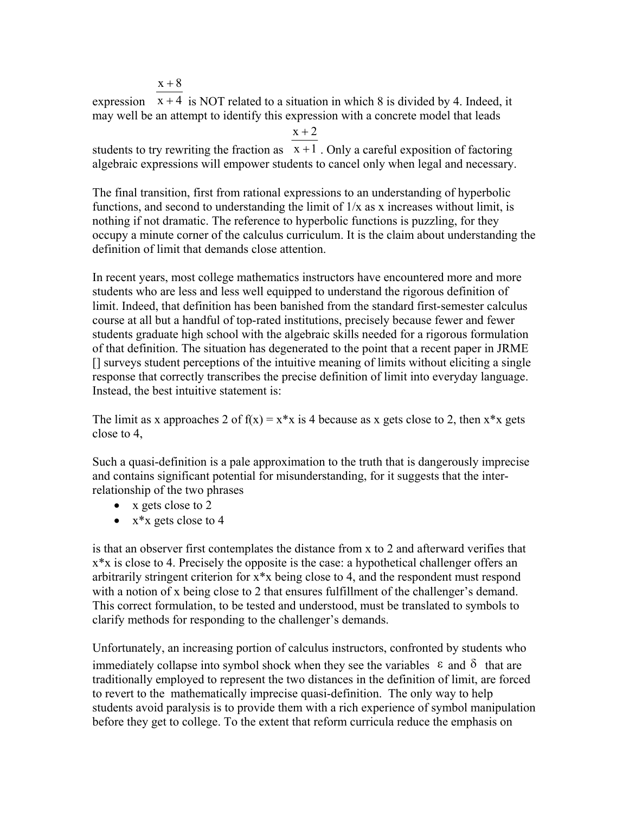$x + 8$ 

expression  $x + 4$  is NOT related to a situation in which 8 is divided by 4. Indeed, it may well be an attempt to identify this expression with a concrete model that leads

 $x + 2$ 

students to try rewriting the fraction as  $x + 1$ . Only a careful exposition of factoring algebraic expressions will empower students to cancel only when legal and necessary.

The final transition, first from rational expressions to an understanding of hyperbolic functions, and second to understanding the limit of  $1/x$  as x increases without limit, is nothing if not dramatic. The reference to hyperbolic functions is puzzling, for they occupy a minute corner of the calculus curriculum. It is the claim about understanding the definition of limit that demands close attention.

In recent years, most college mathematics instructors have encountered more and more students who are less and less well equipped to understand the rigorous definition of limit. Indeed, that definition has been banished from the standard first-semester calculus course at all but a handful of top-rated institutions, precisely because fewer and fewer students graduate high school with the algebraic skills needed for a rigorous formulation of that definition. The situation has degenerated to the point that a recent paper in JRME [] surveys student perceptions of the intuitive meaning of limits without eliciting a single response that correctly transcribes the precise definition of limit into everyday language. Instead, the best intuitive statement is:

The limit as x approaches 2 of  $f(x) = x *x$  is 4 because as x gets close to 2, then  $x *x$  gets close to 4,

Such a quasi-definition is a pale approximation to the truth that is dangerously imprecise and contains significant potential for misunderstanding, for it suggests that the interrelationship of the two phrases

- x gets close to 2
- $x^*x$  gets close to 4

is that an observer first contemplates the distance from x to 2 and afterward verifies that  $x^*x$  is close to 4. Precisely the opposite is the case: a hypothetical challenger offers an arbitrarily stringent criterion for x\*x being close to 4, and the respondent must respond with a notion of x being close to 2 that ensures fulfillment of the challenger's demand. This correct formulation, to be tested and understood, must be translated to symbols to clarify methods for responding to the challenger's demands.

Unfortunately, an increasing portion of calculus instructors, confronted by students who immediately collapse into symbol shock when they see the variables  $\epsilon$  and  $\delta$  that are traditionally employed to represent the two distances in the definition of limit, are forced to revert to the mathematically imprecise quasi-definition. The only way to help students avoid paralysis is to provide them with a rich experience of symbol manipulation before they get to college. To the extent that reform curricula reduce the emphasis on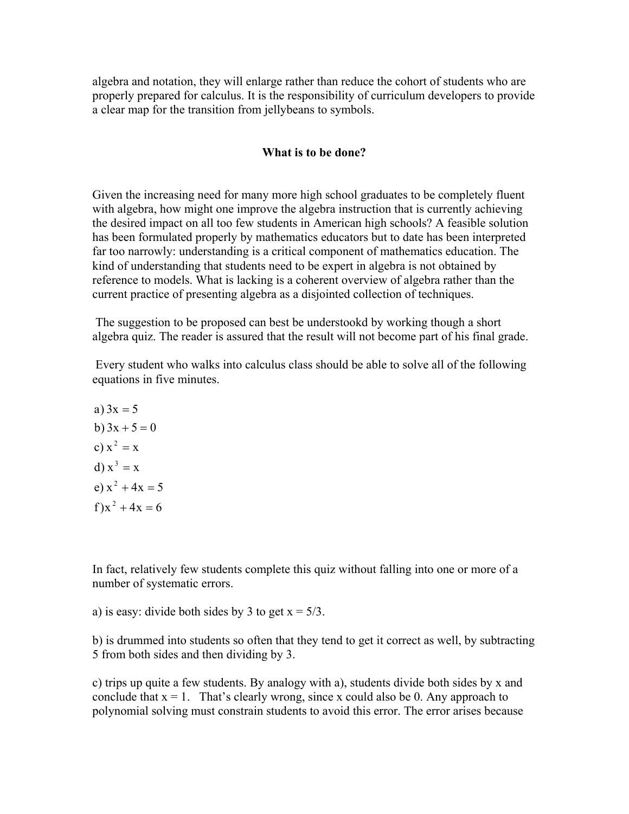algebra and notation, they will enlarge rather than reduce the cohort of students who are properly prepared for calculus. It is the responsibility of curriculum developers to provide a clear map for the transition from jellybeans to symbols.

### **What is to be done?**

Given the increasing need for many more high school graduates to be completely fluent with algebra, how might one improve the algebra instruction that is currently achieving the desired impact on all too few students in American high schools? A feasible solution has been formulated properly by mathematics educators but to date has been interpreted far too narrowly: understanding is a critical component of mathematics education. The kind of understanding that students need to be expert in algebra is not obtained by reference to models. What is lacking is a coherent overview of algebra rather than the current practice of presenting algebra as a disjointed collection of techniques.

 The suggestion to be proposed can best be understookd by working though a short algebra quiz. The reader is assured that the result will not become part of his final grade.

 Every student who walks into calculus class should be able to solve all of the following equations in five minutes.

 $f)x^2 + 4x = 6$ e)  $x^2 + 4x = 5$ d)  $x^3 = x$ c)  $x^2 = x$ b)  $3x + 5 = 0$ a)  $3x = 5$ 

In fact, relatively few students complete this quiz without falling into one or more of a number of systematic errors.

a) is easy: divide both sides by 3 to get  $x = 5/3$ .

b) is drummed into students so often that they tend to get it correct as well, by subtracting 5 from both sides and then dividing by 3.

c) trips up quite a few students. By analogy with a), students divide both sides by x and conclude that  $x = 1$ . That's clearly wrong, since x could also be 0. Any approach to polynomial solving must constrain students to avoid this error. The error arises because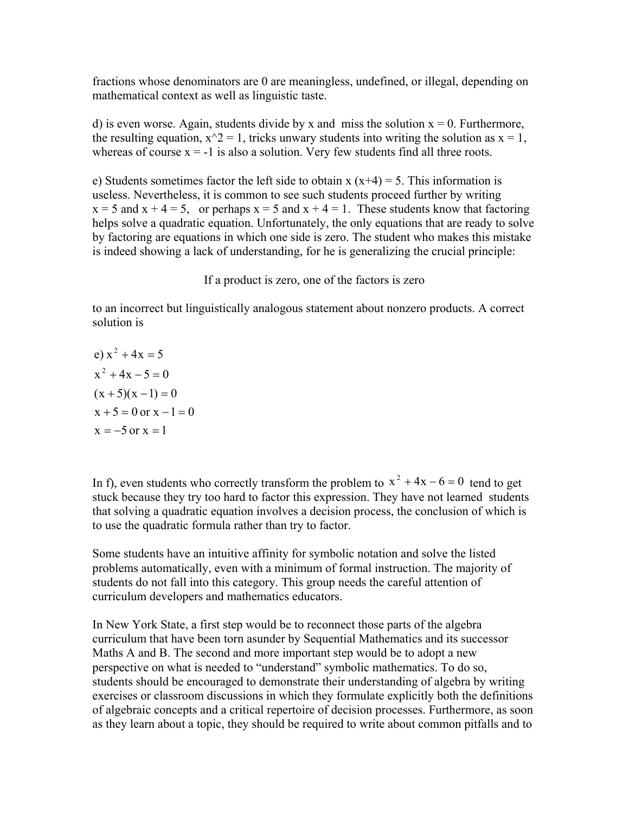fractions whose denominators are 0 are meaningless, undefined, or illegal, depending on mathematical context as well as linguistic taste.

d) is even worse. Again, students divide by x and miss the solution  $x = 0$ . Furthermore, the resulting equation,  $x^2 = 1$ , tricks unwary students into writing the solution as  $x = 1$ , whereas of course  $x = -1$  is also a solution. Very few students find all three roots.

e) Students sometimes factor the left side to obtain  $x(x+4) = 5$ . This information is useless. Nevertheless, it is common to see such students proceed further by writing  $x = 5$  and  $x + 4 = 5$ , or perhaps  $x = 5$  and  $x + 4 = 1$ . These students know that factoring helps solve a quadratic equation. Unfortunately, the only equations that are ready to solve by factoring are equations in which one side is zero. The student who makes this mistake is indeed showing a lack of understanding, for he is generalizing the crucial principle:

If a product is zero, one of the factors is zero

to an incorrect but linguistically analogous statement about nonzero products. A correct solution is

e) 
$$
x^2 + 4x = 5
$$
  
\n $x^2 + 4x - 5 = 0$   
\n $(x + 5)(x - 1) = 0$   
\n $x + 5 = 0$  or  $x - 1 = 0$   
\n $x = -5$  or  $x = 1$ 

In f), even students who correctly transform the problem to  $x^2 + 4x - 6 = 0$  tend to get stuck because they try too hard to factor this expression. They have not learned students that solving a quadratic equation involves a decision process, the conclusion of which is to use the quadratic formula rather than try to factor.

Some students have an intuitive affinity for symbolic notation and solve the listed problems automatically, even with a minimum of formal instruction. The majority of students do not fall into this category. This group needs the careful attention of curriculum developers and mathematics educators.

In New York State, a first step would be to reconnect those parts of the algebra curriculum that have been torn asunder by Sequential Mathematics and its successor Maths A and B. The second and more important step would be to adopt a new perspective on what is needed to "understand" symbolic mathematics. To do so, students should be encouraged to demonstrate their understanding of algebra by writing exercises or classroom discussions in which they formulate explicitly both the definitions of algebraic concepts and a critical repertoire of decision processes. Furthermore, as soon as they learn about a topic, they should be required to write about common pitfalls and to